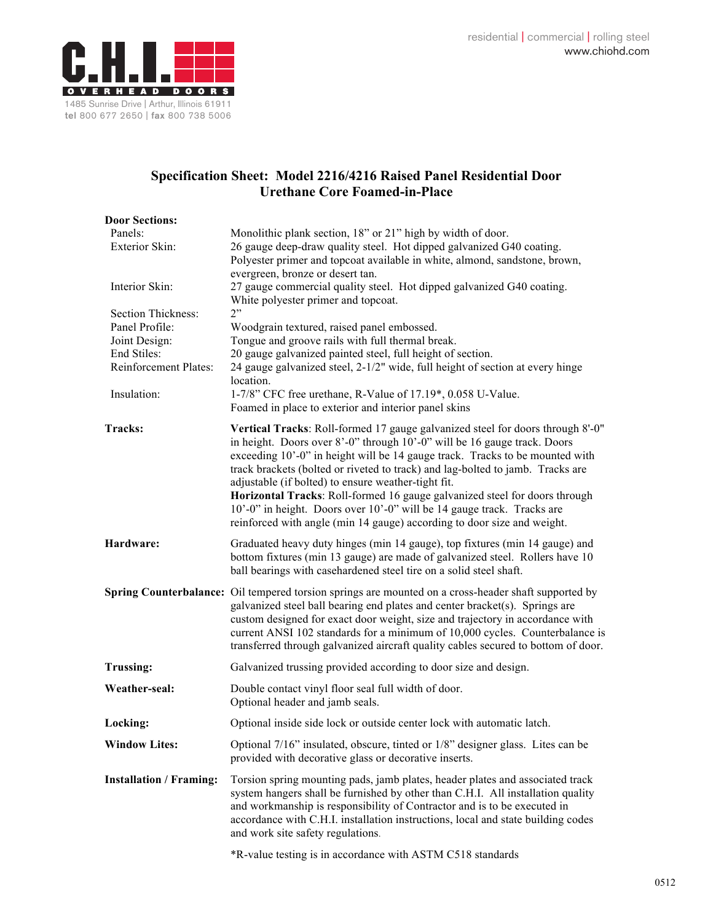

## **Specification Sheet: Model 2216/4216 Raised Panel Residential Door Urethane Core Foamed-in-Place**

| <b>Door Sections:</b>          |                                                                                                                                                                                                                                                                                                                                                                                                                                                                                                                                                                                                                        |
|--------------------------------|------------------------------------------------------------------------------------------------------------------------------------------------------------------------------------------------------------------------------------------------------------------------------------------------------------------------------------------------------------------------------------------------------------------------------------------------------------------------------------------------------------------------------------------------------------------------------------------------------------------------|
| Panels:<br>Exterior Skin:      | Monolithic plank section, 18" or 21" high by width of door.                                                                                                                                                                                                                                                                                                                                                                                                                                                                                                                                                            |
|                                | 26 gauge deep-draw quality steel. Hot dipped galvanized G40 coating.<br>Polyester primer and topcoat available in white, almond, sandstone, brown,                                                                                                                                                                                                                                                                                                                                                                                                                                                                     |
|                                | evergreen, bronze or desert tan.                                                                                                                                                                                                                                                                                                                                                                                                                                                                                                                                                                                       |
| Interior Skin:                 | 27 gauge commercial quality steel. Hot dipped galvanized G40 coating.<br>White polyester primer and topcoat.                                                                                                                                                                                                                                                                                                                                                                                                                                                                                                           |
| Section Thickness:             | 2"                                                                                                                                                                                                                                                                                                                                                                                                                                                                                                                                                                                                                     |
| Panel Profile:                 | Woodgrain textured, raised panel embossed.                                                                                                                                                                                                                                                                                                                                                                                                                                                                                                                                                                             |
| Joint Design:<br>End Stiles:   | Tongue and groove rails with full thermal break.                                                                                                                                                                                                                                                                                                                                                                                                                                                                                                                                                                       |
| Reinforcement Plates:          | 20 gauge galvanized painted steel, full height of section.<br>24 gauge galvanized steel, 2-1/2" wide, full height of section at every hinge                                                                                                                                                                                                                                                                                                                                                                                                                                                                            |
|                                | location.                                                                                                                                                                                                                                                                                                                                                                                                                                                                                                                                                                                                              |
| Insulation:                    | 1-7/8" CFC free urethane, R-Value of 17.19*, 0.058 U-Value.                                                                                                                                                                                                                                                                                                                                                                                                                                                                                                                                                            |
|                                | Foamed in place to exterior and interior panel skins                                                                                                                                                                                                                                                                                                                                                                                                                                                                                                                                                                   |
| Tracks:                        | Vertical Tracks: Roll-formed 17 gauge galvanized steel for doors through 8'-0"<br>in height. Doors over 8'-0" through 10'-0" will be 16 gauge track. Doors<br>exceeding 10'-0" in height will be 14 gauge track. Tracks to be mounted with<br>track brackets (bolted or riveted to track) and lag-bolted to jamb. Tracks are<br>adjustable (if bolted) to ensure weather-tight fit.<br>Horizontal Tracks: Roll-formed 16 gauge galvanized steel for doors through<br>10'-0" in height. Doors over 10'-0" will be 14 gauge track. Tracks are<br>reinforced with angle (min 14 gauge) according to door size and weight. |
| Hardware:                      | Graduated heavy duty hinges (min 14 gauge), top fixtures (min 14 gauge) and<br>bottom fixtures (min 13 gauge) are made of galvanized steel. Rollers have 10<br>ball bearings with casehardened steel tire on a solid steel shaft.                                                                                                                                                                                                                                                                                                                                                                                      |
|                                | Spring Counterbalance: Oil tempered torsion springs are mounted on a cross-header shaft supported by<br>galvanized steel ball bearing end plates and center bracket(s). Springs are<br>custom designed for exact door weight, size and trajectory in accordance with<br>current ANSI 102 standards for a minimum of 10,000 cycles. Counterbalance is<br>transferred through galvanized aircraft quality cables secured to bottom of door.                                                                                                                                                                              |
| <b>Trussing:</b>               | Galvanized trussing provided according to door size and design.                                                                                                                                                                                                                                                                                                                                                                                                                                                                                                                                                        |
| Weather-seal:                  | Double contact vinyl floor seal full width of door.<br>Optional header and jamb seals.                                                                                                                                                                                                                                                                                                                                                                                                                                                                                                                                 |
| Locking:                       | Optional inside side lock or outside center lock with automatic latch.                                                                                                                                                                                                                                                                                                                                                                                                                                                                                                                                                 |
| <b>Window Lites:</b>           | Optional 7/16" insulated, obscure, tinted or 1/8" designer glass. Lites can be<br>provided with decorative glass or decorative inserts.                                                                                                                                                                                                                                                                                                                                                                                                                                                                                |
| <b>Installation / Framing:</b> | Torsion spring mounting pads, jamb plates, header plates and associated track<br>system hangers shall be furnished by other than C.H.I. All installation quality<br>and workmanship is responsibility of Contractor and is to be executed in<br>accordance with C.H.I. installation instructions, local and state building codes<br>and work site safety regulations.                                                                                                                                                                                                                                                  |

\*R-value testing is in accordance with ASTM C518 standards